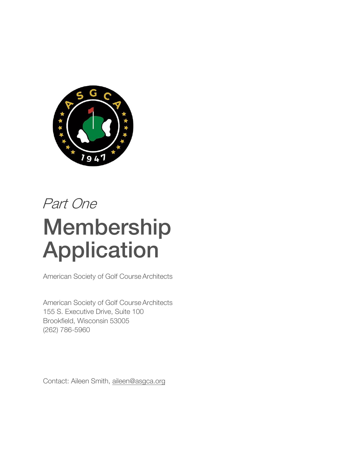

# Part One Membership Application

American Society of Golf Course Architects

American Society of Golf Course Architects 155 S. Executive Drive, Suite 100 Brookfield, Wisconsin 53005 (262) 786-5960

Contact: Aileen Smith[, aileen@asgca.org](mailto:aileen@asgca.org)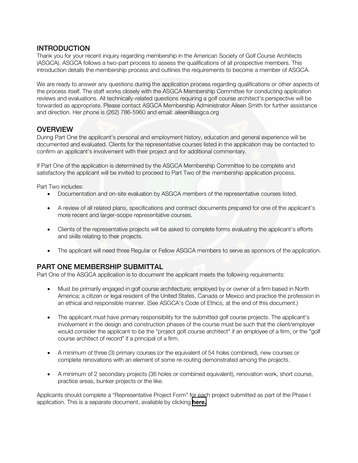#### **INTRODUCTION**

Thank you for your recent inquiry regarding membership in the American Society of Golf Course Architects (ASGCA). ASGCA follows a two-part process to assess the qualifications of all prospective members. This introduction details the membership process and outlines the requirements to become a member of ASGCA.

We are ready to answer any questions during the application process regarding qualifications or other aspects of the process itself. The staff works closely with the ASGCA Membership Committee for conducting application reviews and evaluations. All technically-related questions requiring a golf course architect's perspective will be forwarded as appropriate. Please contact ASGCA Membership Administrator Aileen Smith for further assistance and direction. Her phone is (262) 786-5960 and email: [aileen@asgca.org](mailto:aileen@asgca.org)

## **OVERVIEW**

During Part One the applicant's personal and employment history, education and general experience will be documented and evaluated. Clients for the representative courses listed in the application may be contacted to confirm an applicant's involvement with their project and for additional commentary.

If Part One of the application is determined by the ASGCA Membership Committee to be complete and satisfactory the applicant will be invited to proceed to Part Two of the membership application process.

Part Two includes:

- Documentation and on-site evaluation by ASGCA members of the representative courses listed.
- A review of all related plans, specifications and contract documents prepared for one of the applicant's more recent and larger-scope representative courses.
- Clients of the representative projects will be asked to complete forms evaluating the applicant's efforts and skills relating to their projects.
- The applicant will need three Regular or Fellow ASGCA members to serve as sponsors of the application.

## PART ONE MEMBERSHIP SUBMITTAL

Part One of the ASGCA application is to document the applicant meets the following requirements:

- Must be primarily engaged in golf course architecture; employed by or owner of a firm based in North America; a citizen or legal resident of the United States, Canada or Mexico and practice the profession in an ethical and responsible manner. (See ASGCA's Code of Ethics, at the end of this document.)
- The applicant must have primary responsibility for the submitted golf course projects. The applicant's involvement in the design and construction phases of the course must be such that the client/employer would consider the applicant to be the "project golf course architect" if an employee of a firm, or the "golf course architect of record" if a principal of a firm.
- A minimum of three (3) primary courses (or the equivalent of 54 holes combined), new courses or complete renovations with an element of some re-routing demonstrated among the projects.
- A minimum of 2 secondary projects (36 holes or combined equivalent), renovation work, short course, practice areas, bunker projects or the like.

Applicants should complete a "Representative Project Form" for each project submitted as part of the Phase I application. This is a separate document, available by clicking **[here.](https://asgca.org/wp-content/uploads/2019/07/ASGCA-Representative-Project-List.pdf)**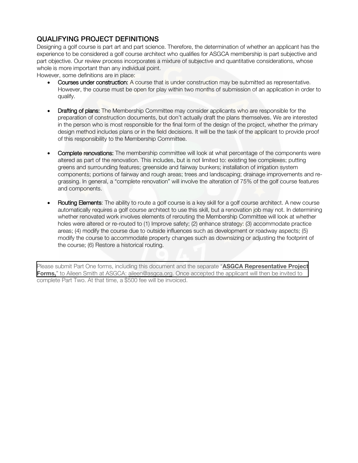# QUALIFYING PROJECT DEFINITIONS

Designing a golf course is part art and part science. Therefore, the determination of whether an applicant has the experience to be considered a golf course architect who qualifies for ASGCA membership is part subjective and part objective. Our review process incorporates a mixture of subjective and quantitative considerations, whose whole is more important than any individual point.

However, some definitions are in place:

- Courses under construction: A course that is under construction may be submitted as representative. However, the course must be open for play within two months of submission of an application in order to qualify.
- Drafting of plans: The Membership Committee may consider applicants who are responsible for the preparation of construction documents, but don't actually draft the plans themselves. We are interested in the person who is most responsible for the final form of the design of the project, whether the primary design method includes plans or in the field decisions. It will be the task of the applicant to provide proof of this responsibility to the Membership Committee.
- **Complete renovations:** The membership committee will look at what percentage of the components were altered as part of the renovation. This includes, but is not limited to: existing tee complexes; putting greens and surrounding features; greenside and fairway bunkers; installation of irrigation system components; portions of fairway and rough areas; trees and landscaping; drainage improvements and regrassing. In general, a "complete renovation" will involve the alteration of 75% of the golf course features and components.
- Routing Elements: The ability to route a golf course is a key skill for a golf course architect. A new course automatically requires a golf course architect to use this skill, but a renovation job may not. In determining whether renovated work involves elements of rerouting the Membership Committee will look at whether holes were altered or re-routed to (1) Improve safety; (2) enhance strategy: (3) accommodate practice areas; (4) modify the course due to outside influences such as development or roadway aspects; (5) modify the course to accommodate property changes such as downsizing or adjusting the footprint of the course; (6) Restore a historical routing.

Please submit Part One forms, including this document and the separate "**ASGCA Representative Project**  Forms," to Aileen Smith at ASGCA: [aileen@asgca.org.](mailto:aileen@asgca.org) Once accepted the applicant will then be invited to complete Part Two. At that time, a \$500 fee will be invoiced.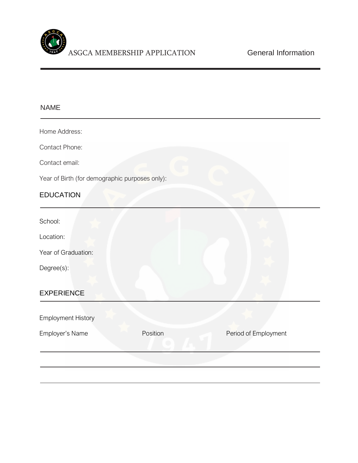

#### NAME

Home Address:

Contact Phone:

Contact email:

Year of Birth (for demographic purposes only):

# EDUCATION

School:

Location:

Year of Graduation:

Degree(s):

#### EXPERIENCE

| <b>Employment History</b> |          |                      |
|---------------------------|----------|----------------------|
| Employer's Name           | Position | Period of Employment |
|                           |          |                      |